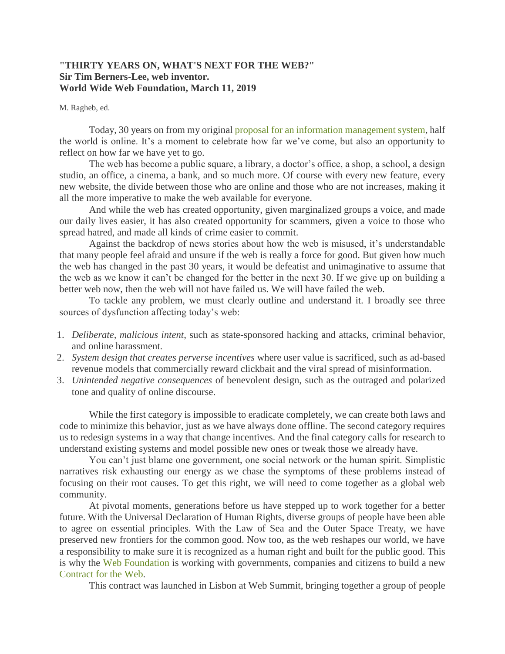## **"THIRTY YEARS ON, WHAT'S NEXT FOR THE WEB?" Sir Tim Berners-Lee, web inventor. World Wide Web Foundation, March 11, 2019**

## M. Ragheb, ed.

Today, 30 years on from my original [proposal for an information management system,](http://info.cern.ch/Proposal.html) half the world is online. It's a moment to celebrate how far we've come, but also an opportunity to reflect on how far we have yet to go.

The web has become a public square, a library, a doctor's office, a shop, a school, a design studio, an office, a cinema, a bank, and so much more. Of course with every new feature, every new website, the divide between those who are online and those who are not increases, making it all the more imperative to make the web available for everyone.

And while the web has created opportunity, given marginalized groups a voice, and made our daily lives easier, it has also created opportunity for scammers, given a voice to those who spread hatred, and made all kinds of crime easier to commit.

Against the backdrop of news stories about how the web is misused, it's understandable that many people feel afraid and unsure if the web is really a force for good. But given how much the web has changed in the past 30 years, it would be defeatist and unimaginative to assume that the web as we know it can't be changed for the better in the next 30. If we give up on building a better web now, then the web will not have failed us. We will have failed the web.

To tackle any problem, we must clearly outline and understand it. I broadly see three sources of dysfunction affecting today's web:

- 1. *Deliberate, malicious intent*, such as state-sponsored hacking and attacks, criminal behavior, and online harassment.
- 2. *System design that creates perverse incentives* where user value is sacrificed, such as ad-based revenue models that commercially reward clickbait and the viral spread of misinformation.
- 3. *Unintended negative consequences* of benevolent design, such as the outraged and polarized tone and quality of online discourse.

While the first category is impossible to eradicate completely, we can create both laws and code to minimize this behavior, just as we have always done offline. The second category requires us to redesign systems in a way that change incentives. And the final category calls for research to understand existing systems and model possible new ones or tweak those we already have.

You can't just blame one government, one social network or the human spirit. Simplistic narratives risk exhausting our energy as we chase the symptoms of these problems instead of focusing on their root causes. To get this right, we will need to come together as a global web community.

At pivotal moments, generations before us have stepped up to work together for a better future. With the Universal Declaration of Human Rights, diverse groups of people have been able to agree on essential principles. With the Law of Sea and the Outer Space Treaty, we have preserved new frontiers for the common good. Now too, as the web reshapes our world, we have a responsibility to make sure it is recognized as a human right and built for the public good. This is why the [Web Foundation](https://webfoundation.org/) is working with governments, companies and citizens to build a new [Contract for the Web.](https://fortheweb.webfoundation.org/)

This contract was launched in Lisbon at Web Summit, bringing together a group of people